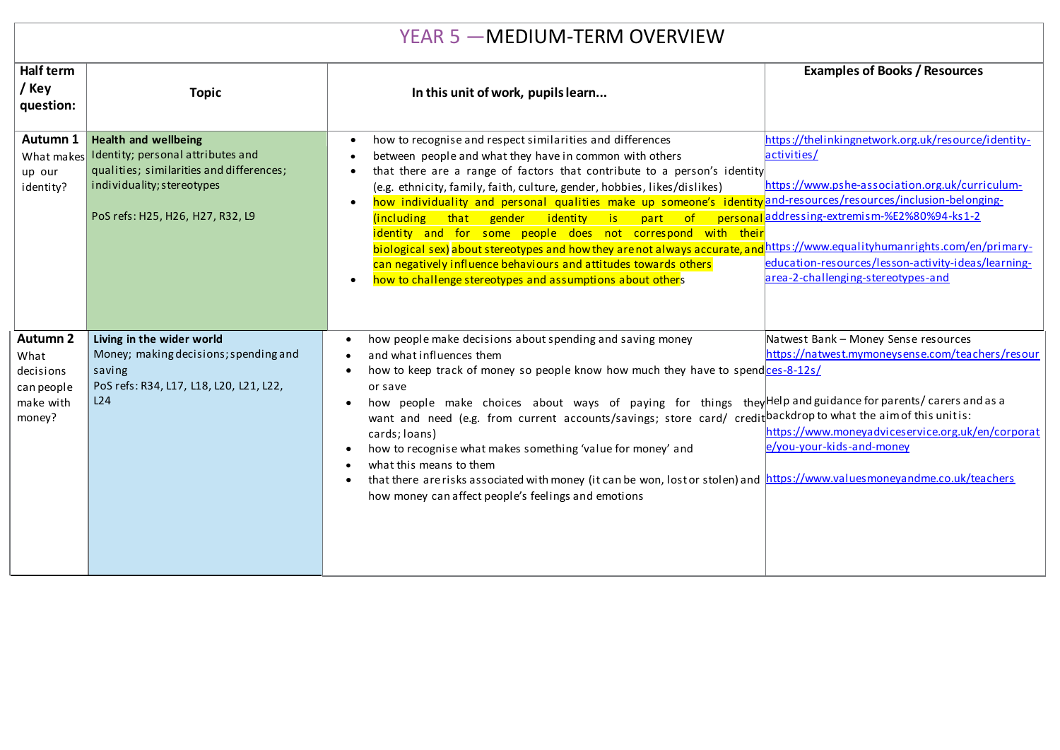| YEAR 5 - MEDIUM-TERM OVERVIEW                                             |                                                                                                                                                                                |                                                                                                                                                                                                                                                                                                                                                                                                                                                                                                                                                                                                                                                                                                                                                                     |                                                                                                                                                                                                                                                                                                                        |  |  |  |
|---------------------------------------------------------------------------|--------------------------------------------------------------------------------------------------------------------------------------------------------------------------------|---------------------------------------------------------------------------------------------------------------------------------------------------------------------------------------------------------------------------------------------------------------------------------------------------------------------------------------------------------------------------------------------------------------------------------------------------------------------------------------------------------------------------------------------------------------------------------------------------------------------------------------------------------------------------------------------------------------------------------------------------------------------|------------------------------------------------------------------------------------------------------------------------------------------------------------------------------------------------------------------------------------------------------------------------------------------------------------------------|--|--|--|
| Half term<br>/ Key<br>question:                                           | <b>Topic</b>                                                                                                                                                                   | In this unit of work, pupils learn                                                                                                                                                                                                                                                                                                                                                                                                                                                                                                                                                                                                                                                                                                                                  | <b>Examples of Books / Resources</b>                                                                                                                                                                                                                                                                                   |  |  |  |
| Autumn 1<br>What makes<br>up our<br>identity?                             | <b>Health and wellbeing</b><br>Identity; personal attributes and<br>qualities; similarities and differences;<br>individuality; stereotypes<br>PoS refs: H25, H26, H27, R32, L9 | how to recognise and respect similarities and differences<br>$\bullet$<br>between people and what they have in common with others<br>that there are a range of factors that contribute to a person's identity<br>(e.g. ethnicity, family, faith, culture, gender, hobbies, likes/dislikes)<br>how individuality and personal qualities make up someone's identity and-resources/resources/inclusion-belonging<br>$\bullet$<br>(including that gender identity is part of<br>identity and for some people does not correspond with their<br>biological sex) about stereotypes and how they are not always accurate, an<br>can negatively influence behaviours and attitudes towards others<br>how to challenge stereotypes and assumptions about others<br>$\bullet$ | https://thelinkingnetwork.org.uk/resource/identity-<br>activities/<br>https://www.pshe-association.org.uk/curriculum-<br>personal addressing-extremism-%E2%80%94-ks1-2<br>https://www.equalityhumanrights.com/en/primary-<br>education-resources/lesson-activity-ideas/learning-<br>area-2-challenging-stereotypes-and |  |  |  |
| <b>Autumn 2</b><br>What<br>decisions<br>can people<br>make with<br>money? | Living in the wider world<br>Money; making decisions; spending and<br>saving<br>PoS refs: R34, L17, L18, L20, L21, L22,<br>L24                                                 | how people make decisions about spending and saving money<br>and what influences them<br>how to keep track of money so people know how much they have to spendces-8-12s/<br>or save<br>how people make choices about ways of paying for things they Help and guidance for parents/ carers and as a<br>want and need (e.g. from current accounts/savings; store card/ credit backdrop to what the aim of this unitis:<br>cards; loans)<br>how to recognise what makes something 'value for money' and<br>what this means to them<br>that there are risks associated with money (it can be won, lost or stolen) and https://www.valuesmoneyandme.co.uk/teachers<br>$\bullet$<br>how money can affect people's feelings and emotions                                   | Natwest Bank - Money Sense resources<br>https://natwest.mymoneysense.com/teachers/resour<br>https://www.moneyadviceservice.org.uk/en/corporat<br>e/you-your-kids-and-money                                                                                                                                             |  |  |  |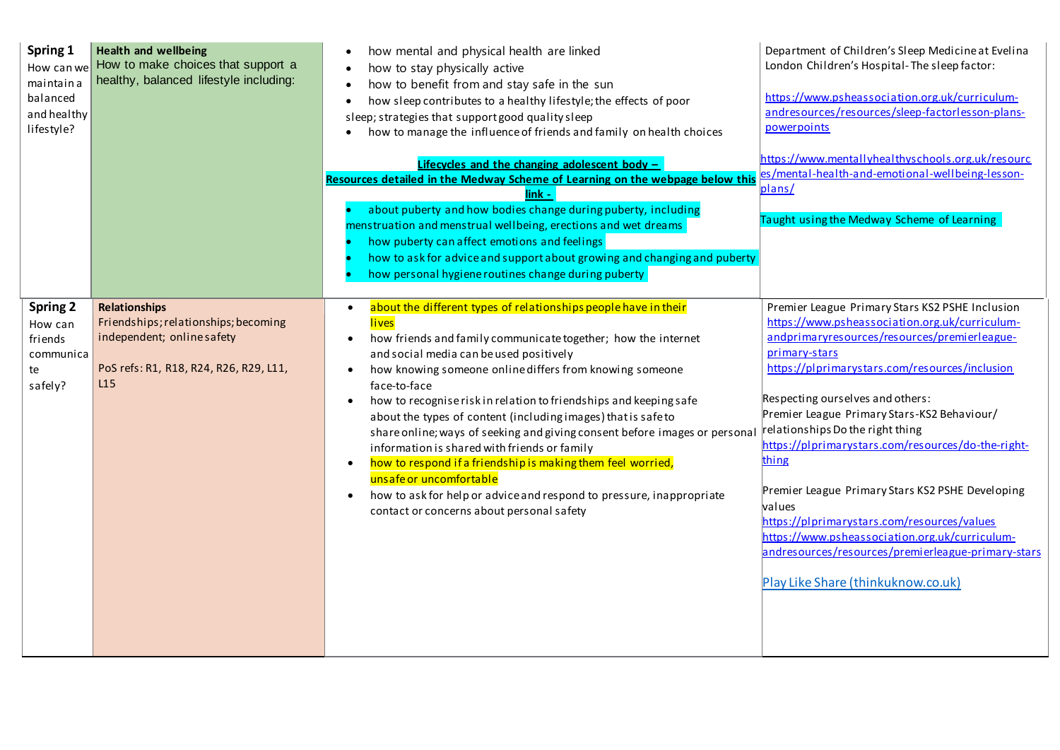| Spring 1<br>How can we<br>maintain a<br>balanced<br>and healthy<br>lifestyle? | <b>Health and wellbeing</b><br>How to make choices that support a<br>healthy, balanced lifestyle including:                                 | how mental and physical health are linked<br>how to stay physically active<br>how to benefit from and stay safe in the sun<br>how sleep contributes to a healthy lifestyle; the effects of poor<br>sleep; strategies that support good quality sleep<br>how to manage the influence of friends and family on health choices<br>Lifecycles and the changing adolescent body -<br>Resources detailed in the Medway Scheme of Learning on the webpage below this<br>link<br>about puberty and how bodies change during puberty, including<br>menstruation and menstrual wellbeing, erections and wet dreams<br>how puberty can affect emotions and feelings<br>how to ask for advice and support about growing and changing and puberty<br>how personal hygiene routines change during puberty                        | Department of Children's Sleep Medicine at Evelina<br>London Children's Hospital-The sleep factor:<br>https://www.psheassociation.org.uk/curriculum-<br>andresources/resources/sleep-factorlesson-plans-<br>powerpoints<br>https://www.mentallyhealthyschools.org.uk/resourc<br>es/mental-health-and-emotional-wellbeing-lesson-<br>plans/<br>Taught using the Medway Scheme of Learning                                                                                                                                                                                                                                                                              |
|-------------------------------------------------------------------------------|---------------------------------------------------------------------------------------------------------------------------------------------|--------------------------------------------------------------------------------------------------------------------------------------------------------------------------------------------------------------------------------------------------------------------------------------------------------------------------------------------------------------------------------------------------------------------------------------------------------------------------------------------------------------------------------------------------------------------------------------------------------------------------------------------------------------------------------------------------------------------------------------------------------------------------------------------------------------------|-----------------------------------------------------------------------------------------------------------------------------------------------------------------------------------------------------------------------------------------------------------------------------------------------------------------------------------------------------------------------------------------------------------------------------------------------------------------------------------------------------------------------------------------------------------------------------------------------------------------------------------------------------------------------|
| <b>Spring 2</b><br>How can<br>friends<br>communica<br>te<br>safely?           | <b>Relationships</b><br>Friendships; relationships; becoming<br>independent; online safety<br>PoS refs: R1, R18, R24, R26, R29, L11,<br>L15 | about the different types of relationships people have in their<br>lives<br>how friends and family communicate together; how the internet<br>$\bullet$<br>and social media can be used positively<br>how knowing someone online differs from knowing someone<br>$\bullet$<br>face-to-face<br>how to recognise risk in relation to friendships and keeping safe<br>$\bullet$<br>about the types of content (including images) that is safe to<br>share online; ways of seeking and giving consent before images or persona<br>information is shared with friends or family<br>how to respond if a friendship is making them feel worried,<br>$\bullet$<br>unsafe or uncomfortable<br>how to ask for help or advice and respond to pressure, inappropriate<br>$\bullet$<br>contact or concerns about personal safety | Premier League Primary Stars KS2 PSHE Inclusion<br>https://www.psheassociation.org.uk/curriculum-<br>andprimaryresources/resources/premierleague-<br>primary-stars<br>https://plprimarystars.com/resources/inclusion<br>Respecting ourselves and others:<br>Premier League Primary Stars-KS2 Behaviour/<br>relationships Do the right thing<br>https://plprimarystars.com/resources/do-the-right-<br>thing<br>Premier League Primary Stars KS2 PSHE Developing<br>values<br>https://plprimarystars.com/resources/values<br>https://www.psheassociation.org.uk/curriculum-<br>andresources/resources/premierleague-primary-stars<br>Play Like Share (thinkuknow.co.uk) |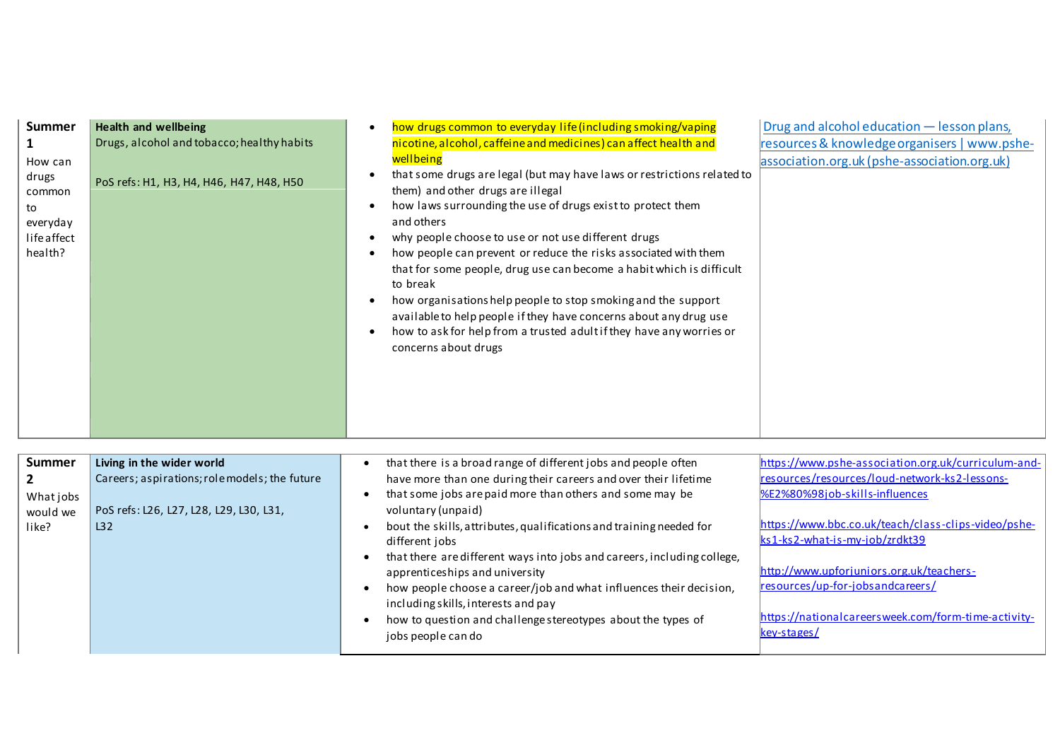| Summer         | <b>Health and wellbeing</b>                   | Drug and alcohol education - lesson plans,<br>how drugs common to everyday life (including smoking/vaping<br>$\bullet$                  |
|----------------|-----------------------------------------------|-----------------------------------------------------------------------------------------------------------------------------------------|
| 1              | Drugs, alcohol and tobacco; healthy habits    | nicotine, alcohol, caffeine and medicines) can affect health and<br>resources & knowledge organisers   www.pshe-                        |
| How can        |                                               | wellbeing<br>association.org.uk (pshe-association.org.uk)                                                                               |
| drugs          |                                               | that some drugs are legal (but may have laws or restrictions related to<br>$\bullet$                                                    |
| common         | PoS refs: H1, H3, H4, H46, H47, H48, H50      | them) and other drugs are illegal                                                                                                       |
| to             |                                               | how laws surrounding the use of drugs exist to protect them<br>$\bullet$                                                                |
| everyday       |                                               | and others                                                                                                                              |
| life affect    |                                               | why people choose to use or not use different drugs<br>$\bullet$                                                                        |
| health?        |                                               | how people can prevent or reduce the risks associated with them<br>$\bullet$                                                            |
|                |                                               | that for some people, drug use can become a habit which is difficult                                                                    |
|                |                                               | to break                                                                                                                                |
|                |                                               | how organisations help people to stop smoking and the support<br>$\bullet$                                                              |
|                |                                               | available to help people if they have concerns about any drug use                                                                       |
|                |                                               | how to ask for help from a trusted adult if they have any worries or<br>$\bullet$                                                       |
|                |                                               | concerns about drugs                                                                                                                    |
|                |                                               |                                                                                                                                         |
|                |                                               |                                                                                                                                         |
|                |                                               |                                                                                                                                         |
|                |                                               |                                                                                                                                         |
|                |                                               |                                                                                                                                         |
|                |                                               |                                                                                                                                         |
| <b>Summer</b>  | Living in the wider world                     | https://www.pshe-association.org.uk/curriculum-and-<br>that there is a broad range of different jobs and people often                   |
| $\overline{2}$ | Careers; aspirations; role models; the future | resources/resources/loud-network-ks2-lessons-<br>have more than one during their careers and over their lifetime                        |
| What jobs      |                                               | %E2%80%98job-skills-influences<br>that some jobs are paid more than others and some may be<br>$\bullet$                                 |
| would we       | PoS refs: L26, L27, L28, L29, L30, L31,       | voluntary (unpaid)                                                                                                                      |
| like?          | L32                                           | https://www.bbc.co.uk/teach/class-clips-video/pshe-<br>bout the skills, attributes, qualifications and training needed for<br>$\bullet$ |
|                |                                               | ks1-ks2-what-is-my-job/zrdkt39<br>different jobs                                                                                        |
|                |                                               | that there are different ways into jobs and careers, including college,<br>$\bullet$                                                    |
|                |                                               | http://www.upforjuniors.org.uk/teachers-<br>apprenticeships and university                                                              |
|                |                                               | resources/up-for-jobsandcareers/<br>how people choose a career/job and what influences their decision,<br>$\bullet$                     |
|                |                                               | including skills, interests and pay                                                                                                     |
|                |                                               | https://nationalcareersweek.com/form-time-activity-<br>how to question and challenge stereotypes about the types of                     |
|                |                                               | key-stages/<br>jobs people can do                                                                                                       |
|                |                                               |                                                                                                                                         |